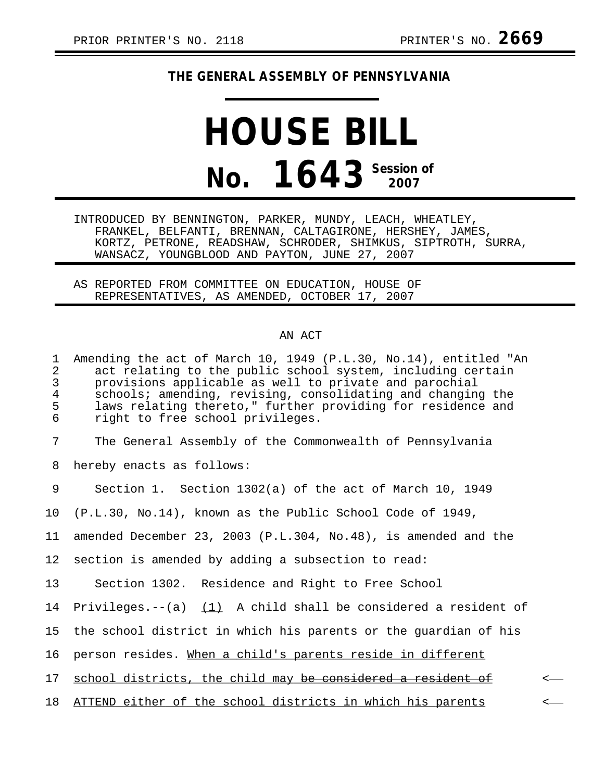## **THE GENERAL ASSEMBLY OF PENNSYLVANIA**

## **HOUSE BILL No. 1643 Session of**

INTRODUCED BY BENNINGTON, PARKER, MUNDY, LEACH, WHEATLEY, FRANKEL, BELFANTI, BRENNAN, CALTAGIRONE, HERSHEY, JAMES, KORTZ, PETRONE, READSHAW, SCHRODER, SHIMKUS, SIPTROTH, SURRA, WANSACZ, YOUNGBLOOD AND PAYTON, JUNE 27, 2007

AS REPORTED FROM COMMITTEE ON EDUCATION, HOUSE OF REPRESENTATIVES, AS AMENDED, OCTOBER 17, 2007

## AN ACT

| 1<br>2<br>$\mathfrak{Z}$<br>$\overline{4}$<br>5<br>6 | Amending the act of March 10, 1949 (P.L.30, No.14), entitled "An<br>act relating to the public school system, including certain<br>provisions applicable as well to private and parochial<br>schools; amending, revising, consolidating and changing the<br>laws relating thereto," further providing for residence and<br>right to free school privileges. |              |
|------------------------------------------------------|-------------------------------------------------------------------------------------------------------------------------------------------------------------------------------------------------------------------------------------------------------------------------------------------------------------------------------------------------------------|--------------|
| 7                                                    | The General Assembly of the Commonwealth of Pennsylvania                                                                                                                                                                                                                                                                                                    |              |
| 8                                                    | hereby enacts as follows:                                                                                                                                                                                                                                                                                                                                   |              |
| 9                                                    | Section 1. Section 1302(a) of the act of March 10, 1949                                                                                                                                                                                                                                                                                                     |              |
| 10 <sub>1</sub>                                      | (P.L.30, No.14), known as the Public School Code of 1949,                                                                                                                                                                                                                                                                                                   |              |
| 11                                                   | amended December 23, 2003 (P.L.304, No.48), is amended and the                                                                                                                                                                                                                                                                                              |              |
| 12 <sub>2</sub>                                      | section is amended by adding a subsection to read:                                                                                                                                                                                                                                                                                                          |              |
| 13                                                   | Section 1302. Residence and Right to Free School                                                                                                                                                                                                                                                                                                            |              |
|                                                      | 14 Privileges.--(a) $(1)$ A child shall be considered a resident of                                                                                                                                                                                                                                                                                         |              |
| 15 <sub>2</sub>                                      | the school district in which his parents or the guardian of his                                                                                                                                                                                                                                                                                             |              |
| 16                                                   | person resides. When a child's parents reside in different                                                                                                                                                                                                                                                                                                  |              |
| 17                                                   | school districts, the child may be considered a resident of                                                                                                                                                                                                                                                                                                 |              |
| 18                                                   | ATTEND either of the school districts in which his parents                                                                                                                                                                                                                                                                                                  | $\leftarrow$ |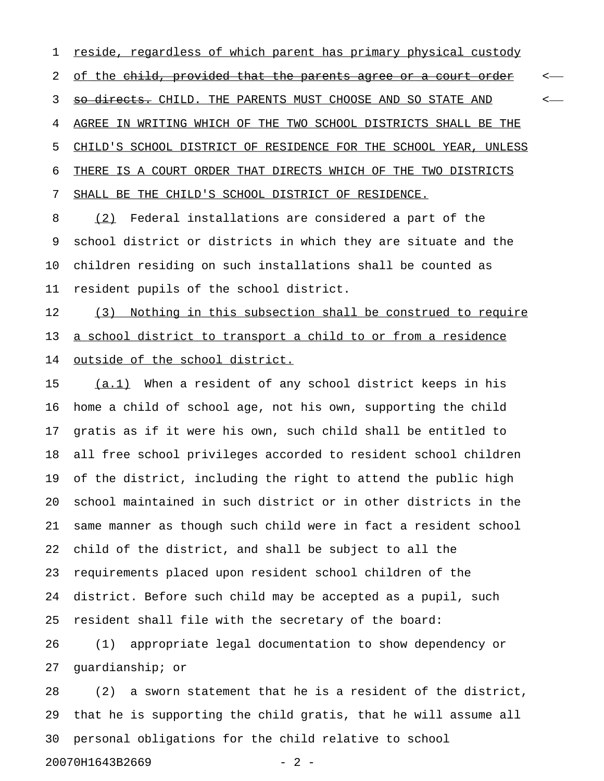1 reside, regardless of which parent has primary physical custody 2 of the child, provided that the parents agree or a court order  $\leftarrow$ 3 <del>so directs.</del> CHILD. THE PARENTS MUST CHOOSE AND SO STATE AND  $\sim$ 4 AGREE IN WRITING WHICH OF THE TWO SCHOOL DISTRICTS SHALL BE THE 5 CHILD'S SCHOOL DISTRICT OF RESIDENCE FOR THE SCHOOL YEAR, UNLESS 6 THERE IS A COURT ORDER THAT DIRECTS WHICH OF THE TWO DISTRICTS 7 SHALL BE THE CHILD'S SCHOOL DISTRICT OF RESIDENCE.

8 (2) Federal installations are considered a part of the 9 school district or districts in which they are situate and the 10 children residing on such installations shall be counted as 11 resident pupils of the school district.

12 (3) Nothing in this subsection shall be construed to require 13 a school district to transport a child to or from a residence 14 outside of the school district.

15 (a.1) When a resident of any school district keeps in his 16 home a child of school age, not his own, supporting the child 17 gratis as if it were his own, such child shall be entitled to 18 all free school privileges accorded to resident school children 19 of the district, including the right to attend the public high 20 school maintained in such district or in other districts in the 21 same manner as though such child were in fact a resident school 22 child of the district, and shall be subject to all the 23 requirements placed upon resident school children of the 24 district. Before such child may be accepted as a pupil, such 25 resident shall file with the secretary of the board:

26 (1) appropriate legal documentation to show dependency or 27 guardianship; or

28 (2) a sworn statement that he is a resident of the district, 29 that he is supporting the child gratis, that he will assume all 30 personal obligations for the child relative to school

20070H1643B2669 - 2 -